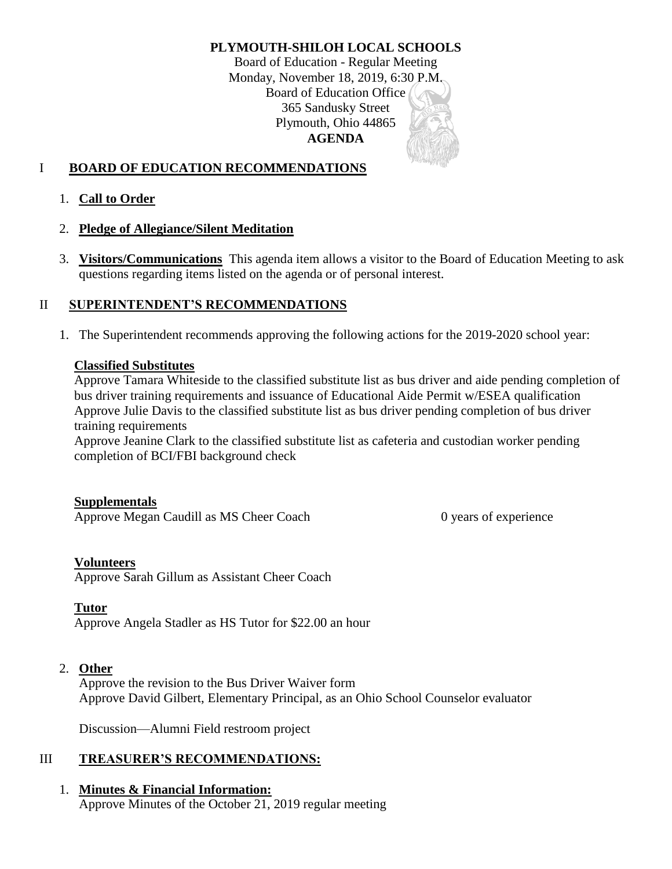# **PLYMOUTH-SHILOH LOCAL SCHOOLS**

Board of Education - Regular Meeting Monday, November 18, 2019, 6:30 P.M. Board of Education Office 365 Sandusky Street Plymouth, Ohio 44865 **AGENDA**

# I **BOARD OF EDUCATION RECOMMENDATIONS**

1. **Call to Order**

### 2. **Pledge of Allegiance/Silent Meditation**

3. **Visitors/Communications** This agenda item allows a visitor to the Board of Education Meeting to ask questions regarding items listed on the agenda or of personal interest.

### II **SUPERINTENDENT'S RECOMMENDATIONS**

1. The Superintendent recommends approving the following actions for the 2019-2020 school year:

#### **Classified Substitutes**

Approve Tamara Whiteside to the classified substitute list as bus driver and aide pending completion of bus driver training requirements and issuance of Educational Aide Permit w/ESEA qualification Approve Julie Davis to the classified substitute list as bus driver pending completion of bus driver training requirements

Approve Jeanine Clark to the classified substitute list as cafeteria and custodian worker pending completion of BCI/FBI background check

#### **Supplementals**

Approve Megan Caudill as MS Cheer Coach 0 years of experience

#### **Volunteers**

Approve Sarah Gillum as Assistant Cheer Coach

#### **Tutor**

Approve Angela Stadler as HS Tutor for \$22.00 an hour

#### 2. **Other**

Approve the revision to the Bus Driver Waiver form Approve David Gilbert, Elementary Principal, as an Ohio School Counselor evaluator

Discussion—Alumni Field restroom project

### III **TREASURER'S RECOMMENDATIONS:**

### 1. **Minutes & Financial Information:**

Approve Minutes of the October 21, 2019 regular meeting